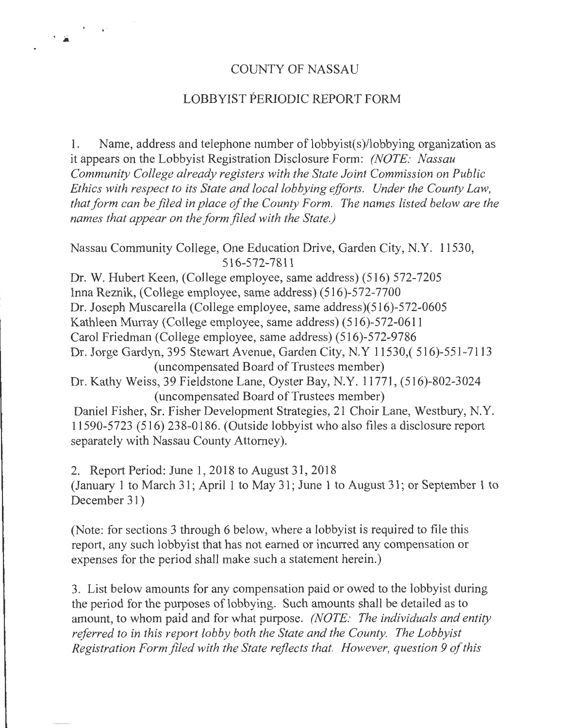### COUNTY OF NASSAU

'a • l

# LOBBYIST PERIODIC REPORT FORM

1. Name, address and telephone number of  $\text{lobbyist}(s)/\text{lobbying organization as}$ it appears on the Lobbyist Registration Disclosure Form: *(NOTE: Nassau Community College already registers with the State Joint Commission on Public Ethics with respect to its State and local lobbying efforts. Under the County Law, that form can be filed in place of the County Form. The names listed below are the names that appear on the form filed with the State.)* 

Nassau Community College, One Education Drive, Garden City, N.Y. 11530, 516-572-7811

Dr. W. Hubert Keen, (College employee, same address) (516) 572-7205 Inna Reznik, (College employee, same address) (516)-572-7700 Dr. Joseph Muscarella (College employee, same address)(516)-572-0605 Kathleen Murray (College employee, same address) (516)-572-0611 Carol Friedman (College employee, same address) (516)-572-9786 Dr. Jorge Gardyn, 395 Stewart Avenue, Garden City, N.Y 11530,( 516)-551-7113 (uncompensated Board of Trustees member)

Dr. Kathy Weiss, 39 Fieldstone Lane, Oyster Bay, N.Y. 11771 , (516)-802-3024 (uncompensated Board of Trustees member)

Daniel Fisher, Sr. Fisher Development Strategies, 21 Choir Lane, Westbury, N.Y. 11590-5723 (516) 238-0186. (Outside lobbyist who also files a disclosure report separately with Nassau County Attorney).

2. Report Period: June 1, 2018 to August 31, 2018 (January 1 to March 31; April 1 to May 31; June 1 to August 31; or September 1 to December 31)

(Note: for sections 3 through 6 below, where a lobbyist is required to file this report, any such lobbyist that has not earned or incurred any compensation or expenses for the period shall make such a statement herein.)

3. List below amounts for any compensation paid or owed to the lobbyist during the period for the purposes of lobbying. Such amounts shall be detailed as to amount, to whom paid and for what purpose. *(NOTE: The individuals and entity referred to in this report lobby both the State and the County. The Lobbyist Registration Form filed with the State reflects that. However, question 9 of this*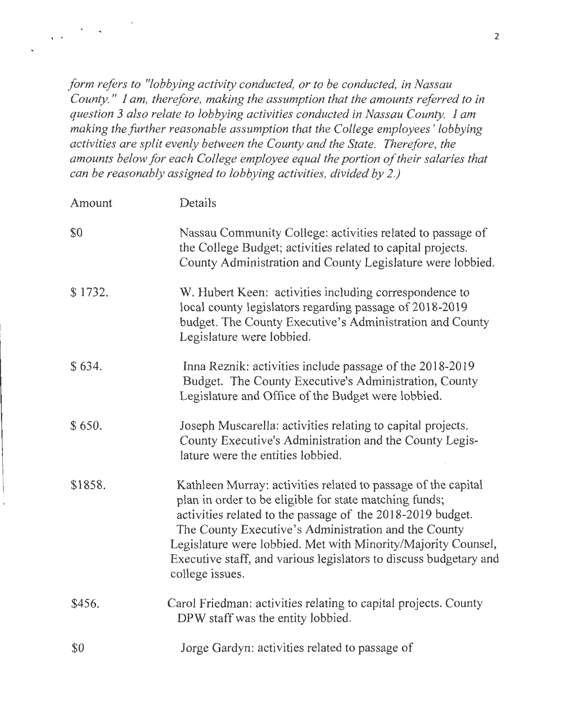*form refers to "lobbying activity conducted, or to be conducted, in Nassau County.* " *I am, therefore, making the assumption that the amounts referred to in question 3 also relate to lobbying activities conducted in Nassau County. I am making the further reasonable assumption that the College employees* ' *lobbying activities are split evenly between the County and the State. Therefore, the amounts below for each College employee equal the portion of their salaries that can be reasonably assigned to lobbying activities, divided by 2.)* 

' .

| Amount  | Details                                                                                                                                                                                                                                                                                                                                                                                                |
|---------|--------------------------------------------------------------------------------------------------------------------------------------------------------------------------------------------------------------------------------------------------------------------------------------------------------------------------------------------------------------------------------------------------------|
| \$0     | Nassau Community College: activities related to passage of<br>the College Budget; activities related to capital projects.<br>County Administration and County Legislature were lobbied.                                                                                                                                                                                                                |
| \$1732. | W. Hubert Keen: activities including correspondence to<br>local county legislators regarding passage of 2018-2019<br>budget. The County Executive's Administration and County<br>Legislature were lobbied.                                                                                                                                                                                             |
| \$634.  | Inna Reznik: activities include passage of the 2018-2019<br>Budget. The County Executive's Administration, County<br>Legislature and Office of the Budget were lobbied.                                                                                                                                                                                                                                |
| \$650.  | Joseph Muscarella: activities relating to capital projects.<br>County Executive's Administration and the County Legis-<br>lature were the entities lobbied.                                                                                                                                                                                                                                            |
| \$1858. | Kathleen Murray: activities related to passage of the capital<br>plan in order to be eligible for state matching funds;<br>activities related to the passage of the 2018-2019 budget.<br>The County Executive's Administration and the County<br>Legislature were lobbied. Met with Minority/Majority Counsel,<br>Executive staff, and various legislators to discuss budgetary and<br>college issues. |
| \$456.  | Carol Friedman: activities relating to capital projects. County<br>DPW staff was the entity lobbied.                                                                                                                                                                                                                                                                                                   |
| \$0     | Jorge Gardyn: activities related to passage of                                                                                                                                                                                                                                                                                                                                                         |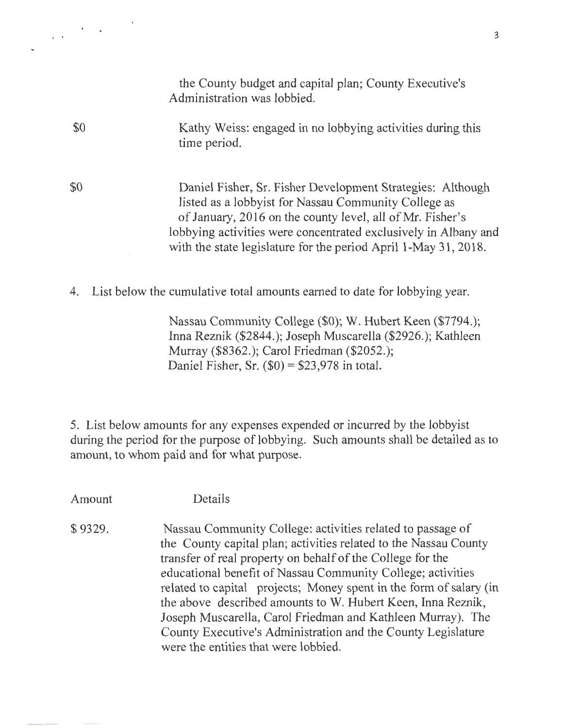|     | the County budget and capital plan; County Executive's<br>Administration was lobbied.                                                                                                                                                                                                                                 |
|-----|-----------------------------------------------------------------------------------------------------------------------------------------------------------------------------------------------------------------------------------------------------------------------------------------------------------------------|
| \$0 | Kathy Weiss: engaged in no lobbying activities during this<br>time period.                                                                                                                                                                                                                                            |
| \$0 | Daniel Fisher, Sr. Fisher Development Strategies: Although<br>listed as a lobbyist for Nassau Community College as<br>of January, 2016 on the county level, all of Mr. Fisher's<br>lobbying activities were concentrated exclusively in Albany and<br>with the state legislature for the period April 1-May 31, 2018. |
|     | List below the cumulative total amounts earned to date for lobbying year.                                                                                                                                                                                                                                             |
|     | Mercan Community College (CO), W II, bout $V_{\text{com}}$ (C7704).                                                                                                                                                                                                                                                   |

Nassau Community College (\$0); W. Hubert Keen (\$7794.); Inna Reznik (\$2844.); Joseph Muscarella (\$2926.); Kathleen Murray (\$8362.); Carol Friedman (\$2052.); Daniel Fisher, Sr.  $(\$0) = \$23,978$  in total.

5. List below amounts for any expenses expended or incurred by the lobbyist during the period for the purpose of lobbying. Such amounts shall be detailed as to amount, to whom paid and for what purpose.

Amount Details

 $\frac{1}{\sqrt{2}}\left(\frac{1}{\sqrt{2}}\right)^{2}$  .

\$9329. Nassau Community College: activities related to passage of the County capital plan; activities related to the Nassau County transfer of real property on behalf of the College for the educational benefit of Nassau Community College; activities related to capital projects; Money spent in the form of salary (in the above described amounts to W. Hubert Keen, Inna Reznik, Joseph Muscarella, Carol Friedman and Kathleen Murray). The County Executive's Administration and the County Legislature were the entities that were lobbied.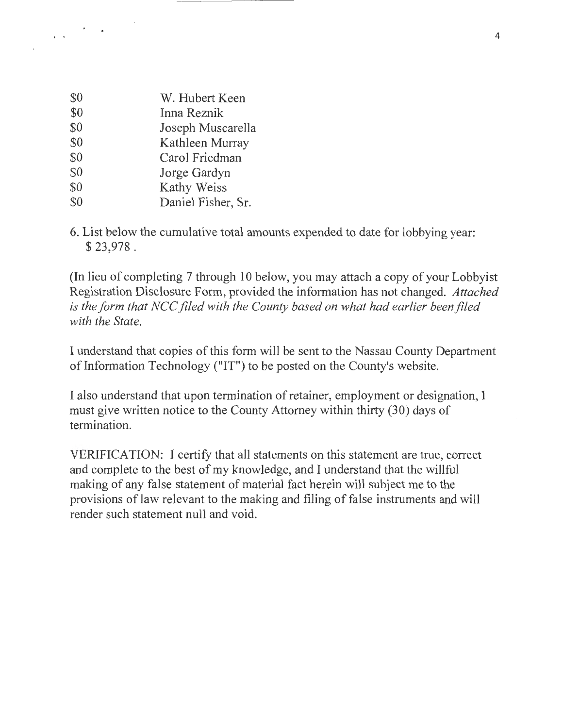| \$0 | W. Hubert Keen     |
|-----|--------------------|
| \$0 | Inna Reznik        |
| \$0 | Joseph Muscarella  |
| \$0 | Kathleen Murray    |
| \$0 | Carol Friedman     |
| \$0 | Jorge Gardyn       |
| \$0 | Kathy Weiss        |
| \$0 | Daniel Fisher, Sr. |

 $\label{eq:1} \frac{1}{\sqrt{2\pi}}\left(\frac{1}{\sqrt{2\pi}}\right)^{2} \frac{1}{\sqrt{2\pi}}\left(\frac{1}{\sqrt{2\pi}}\right)^{2}$ 

6. List below the cumulative total amounts expended to date for lobbying year: \$ 23,978.

(In lieu of completing 7 through 10 below, you may attach a copy of your Lobbyist Registration Disclosure Form, provided the information has not changed. *Attached is the form that NCC filed with the County based on what had earlier been filed with the State.* 

I understand that copies of this form will be sent to the Nassau County Department of Information Technology ("IT") to be posted on the County's website.

I also understand that upon termination of retainer, employment or designation, I must give written notice to the County Attorney within thirty (30) days of termination.

VERIFICATION: I certify that all statements on this statement are true, correct and complete to the best of my knowledge, and I understand that the willful making of any false statement of material fact herein will subject me to the provisions of law relevant to the making and filing of false instruments and will render such statement null and void.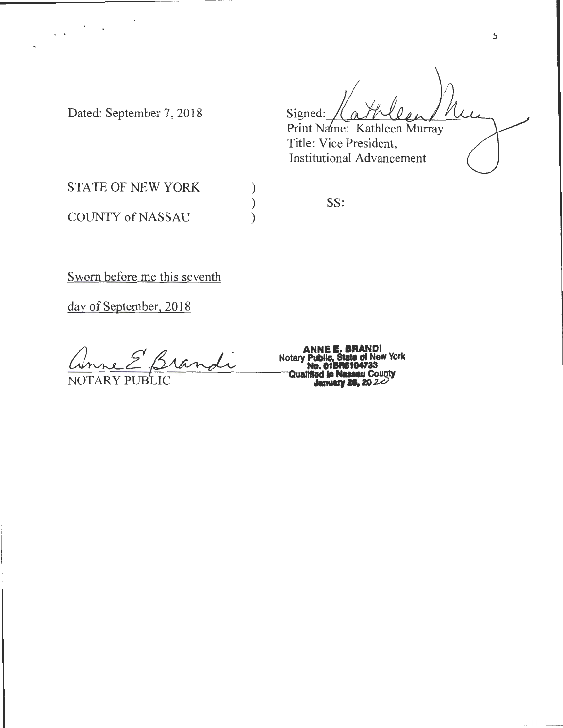Signed: Print Name: Kathleen Murray

Title: Vice President, Institutional Advancement

Dated: September 7, 2018

..

STATE OF NEW YORK COUNTY of NASSAU

SS:

) ) )

Sworn before me this seventh

day of September, 2018

ANNE E. BRANDI<br>ANNE E. BRANDI<br>PUBLIC **COMPUSE COMPUSE COMPUSE COMPUSE COMPUSE COMPUSE COMPUSE COM**<br>January 26, 2024 and Notary Public, State of New Corner Condition of New North Condition of New No. 018R6104733<br>NOTARY PUBLIC Canalities in Nassau Coun

**Notary Public, State of New York No. 01BR6104733**<br>**Qualified in Nassau County**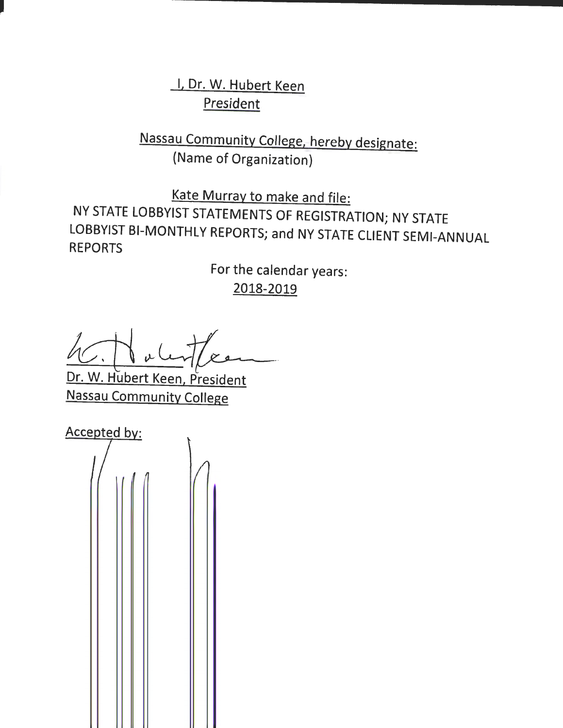I, Dr. W. Hubert Keen **President** 

Nassau Community College, hereby designate: (Name of Organization)

Kate Murray to make and file: NY STATE LOBBYIST STATEMENTS OF REGISTRATION; NY STATE LOBBYIST BI-MONTHLY REPORTS; and NY STATE CLIENT SEMI-ANNUAL REPORTS

> For the calendar years: 2018-2019

 $4c$  Mulity Dr. W. Hubert Keen, President

Nassau Community College

**Accepted by:**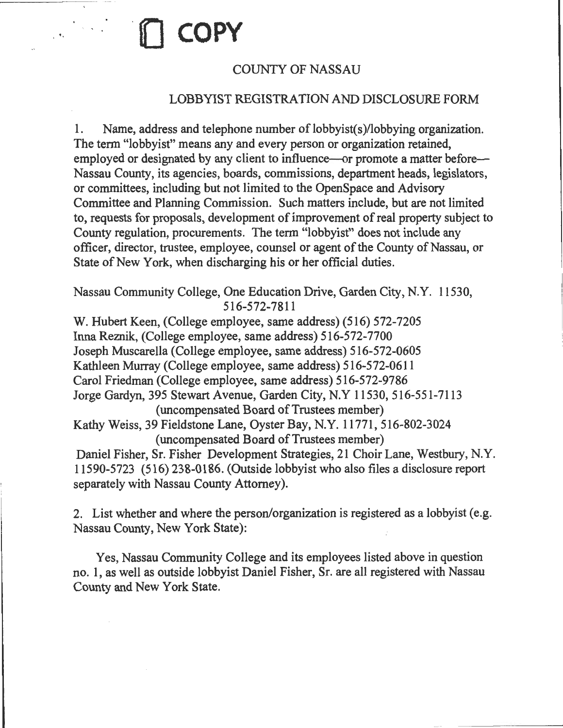# COUNTY OF NASSAU

. ' · **.(1 COPY** 

### LOBBYIST REGISTRATION AND DISCLOSURE FORM

1. Name, address and telephone number of lobbyist(s)/lobbying organization. The term "lobbyist" means any and every person or organization retained, employed or designated by any client to influence—or promote a matter before— Nassau County, its agencies, boards, commissions, department heads, legislators, or committees, including but not limited to the OpenSpace and Advisory Committee and Planning Commission. Such matters include, but are not limited to, requests for proposals, development of improvement of real property subject to County regulation, procurements. The term "lobbyist" does not include any officer, director, trustee, employee, counsel or agent of the County of Nassau, or State of New York, when discharging his or her official duties.

Nassau Community College, One Education Drive, Garden City, N.Y. 11530, 516-572-7811

W. Hubert Keen, (College employee, same address) (516) 572-7205 Irma Reznik, (College employee, same address) 516-572-7700 Joseph Muscarella (College employee, same address) 516-572-0605 Kathleen Murray (College employee, same address) 516-572-0611 Carol Friedman (College employee, same address) 516-572-9786 Jorge Gardyn, 395 Stewart Avenue, Garden City, N.Y 11530, 516-551-7113 (uncompensated Board of Trustees member) Kathy Weiss, 39 Fieldstone Lane, Oyster Bay, N.Y. 11771, 516-802-3024 (uncompensated Board of Trustees member) Daniel Fisher, Sr. Fisher Development Strategies, 21 Choir Lane, Westbury, N.Y. 11590-5723 (516) 238-0186. (Outside lobbyist who also files a disclosure report separately with Nassau County Attorney).

2. List whether and where the person/organization is registered as a lobbyist (e.g. Nassau County, New York State):

Yes, Nassau Community College and its employees listed above in question no. 1, as well as outside lobbyist Daniel Fisher, Sr. are all registered with Nassau County and New York State.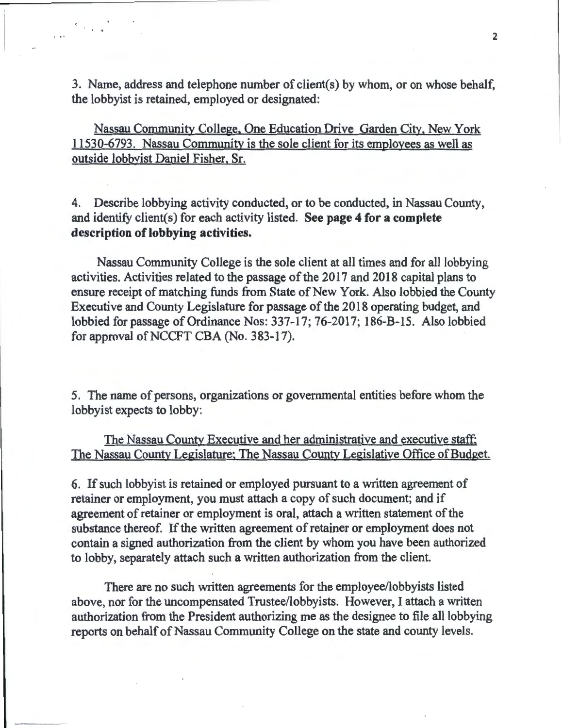3. Name, address and telephone number of client(s) by whom, or on whose behalf, the lobbyist is retained, employed or designated:

 $5.11$ 

 $\frac{1}{2}$  ,  $\frac{1}{2}$  ,  $\frac{1}{2}$ 

Nassau Community College, One Education Drive Garden City. New York 11530-6793. Nassau Community is the sole client for its employees as well as outside lobbyist Daniel Fisher, Sr.

4. Describe lobbying activity conducted, or to be conducted, in Nassau County, and identify client(s) for each activity listed. See page 4 for a complete description of lobbying activities.

Nassau Community College is the sole client at all times and for all lobbying activities. Activities related to the passage of the 2017 and 2018 capital plans to ensure receipt of matching funds from State of New York. Also lobbied the County Executive and County Legislature for passage of the 2018 operating budget, and lobbied for passage of Ordinance Nos: 337-17; 76-2017; 186-B-15. Also lobbied for approval of NCCFT CBA (No. 383-17).

5. The name of persons, organizations or governmental entities before whom the lobbyist expects to lobby:

The Nassau County Executive and her administrative and executive staff; The Nassau County Legislature; The Nassau County Legislative Office of Budget.

6. If such lobbyist is retained or employed pursuant to a written agreement of retainer or employment, you must attach a copy of such document; and if agreement of retainer or employment is oral, attach a written statement of the substance thereof. If the written agreement of retainer or employment does not contain a signed authorization from the client by whom you have been authorized to lobby, separately attach such a written authorization from the client.

There are no such written agreements for the employee/lobbyists listed above, nor for the uncompensated Trustee/lobbyists. However, I attach a written authorization from the President authorizing me as the designee to file all lobbying reports on behalf of Nassau Community College on the state and county levels.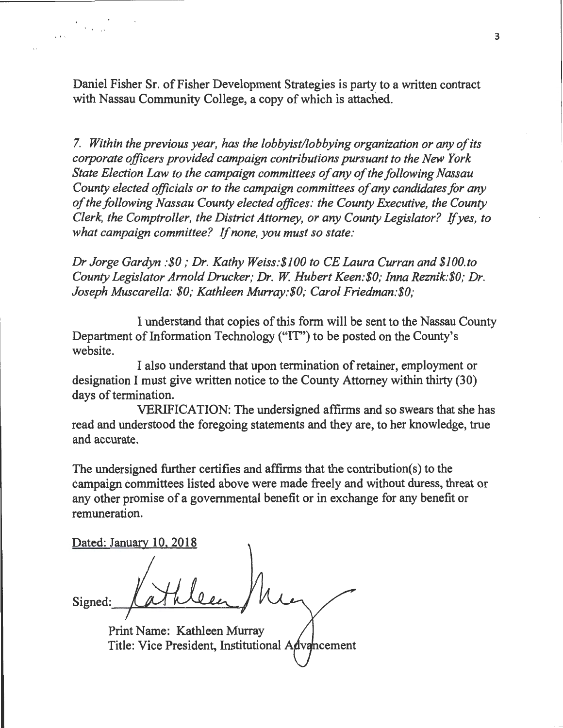Daniel Fisher Sr. of Fisher Development Strategies is party to a written contract with Nassau Community College, a copy of which is attached.

7. *Within the previous year, has the lobbyist/lobbying organization or any of its corporate officers provided campaign contributions pursuant to the New York State Election Law to the campaign committees of any of the following Nassau County elected officials or to the campaign committees of any candidates for any*  · *of the following Nassau County elected offices: the County Executive, the County Clerk, the Comptroller, the District Attorney, or any County Legislator?* If *yes, to what campaign committee?* If *none, you must so state:* 

*Dr Jorge Gardyn :\$0; Dr. Kathy Weiss:\$100 to CE Laura Curran and \$JOO.to County Legislator Arnold Drucker; Dr. W Hubert Keen:\$0; Inna Reznik:\$0; Dr. Joseph Muscarella: \$0; Kathleen Murray:\$0; Carol Friedman:\$0;* 

I understand that copies of this form will be sent to the Nassau County Department of Information Technology ("IT") to be posted on the County's website.

I also understand that upon termination of retainer, employment or designation I must give written notice to the County Attorney within thirty (30) days of termination.

VERIFICATION: The undersigned affirms and so swears that she has read and understood the foregoing statements and they are, to her knowledge, true and accurate.

The undersigned further certifies and affirms that the contribution(s) to the campaign committees listed above were made freely and without duress, threat or any other promise of a governmental benefit or in exchange for any benefit or remuneration.

Dated: January 10, 2018

.<br>1984 - Julie B

Signed

Print Name: Kathleen Murray Title: Vice President, Institutional Advancement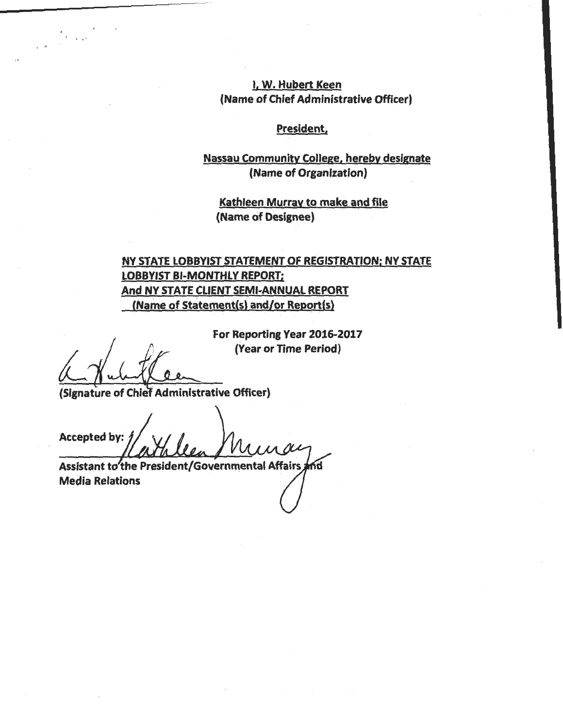I, W. Hubert Keen (Name of Chief Administrative Officer)

# President;

### Nassau Community College, hereby designate (Name of Organization)

Kathleen Murray to make and file (Name of Designee)

# NY STATE LOBBYIST STATEMENT OF REGISTRATION; NY STATE LOBBYIST BI-MONTHLY REPORT; And NY STATE CLIENT SEMI-ANNUAL REPORT (Name of Statement(s) and/or Report(s)

For Reporting Year 2016-2017 (Year or Time Period)

...

(Signature of Chief Administrative Officer)

Accepted by:

Assistant to the President/Governmental Affairs Media Relations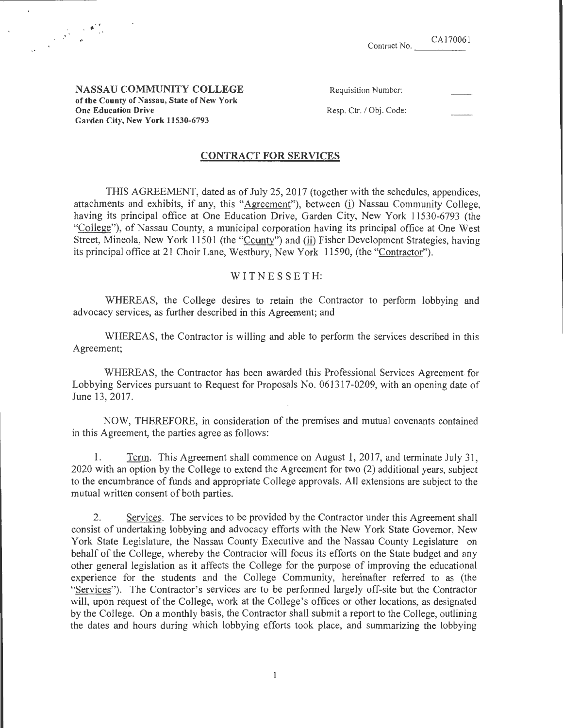| Contract No. | CA170061 |
|--------------|----------|
|              |          |

NASSAU COMMUNITY COLLEGE of the County of Nassau, State of New York One Education Drive Garden City, New York 11530-6793

·'

 $\mathcal{L}$ 

| Requisition Number: |  |
|---------------------|--|
|                     |  |
|                     |  |

Resp. Ctr. / Obj. Code:

### CONTRACT FOR SERVICES

THIS AGREEMENT, dated as of July 25, 2017 (together with the schedules, appendices, attachments and exhibits, if any, this "Agreement"), between (i) Nassau Community College, having its principal office at One Education Drive, Garden City, New York 11530-6793 (the "College"), of Nassau County, a municipal corporation having its principal office at One West Street, Mineola, New York 11501 (the "County") and (ii) Fisher Development Strategies, having its principal office at 21 Choir Lane, Westbury, New York 11590, (the "Contractor").

### W IT N E S S E T H:

WHEREAS, the College desires to retain the Contractor to perform lobbying and advocacy services, as further described in this Agreement; and

WHEREAS, the Contractor is willing and able to perform the services described in this Agreement;

WHEREAS, the Contractor has been awarded this Professional Services Agreement for Lobbying Services pursuant to Request for Proposals No. 061317-0209, with an opening date of June 13,2017.

NOW, THEREFORE, in consideration of the premises and mutual covenants contained in this Agreement, the parties agree as follows:

1. Term. This Agreement shall commence on August 1, 2017, and terminate July 31 , 2020 with an option by the College to extend the Agreement for two (2) additional years, subject to the encumbrance of funds and appropriate College approvals. All extensions are subject to the mutual written consent of both parties.

2. Services. The services to be provided by the Contractor under this Agreement shall consist of undertaking lobbying and advocacy efforts with the New York State Governor, New York State Legislature, the Nassau County Executive and the Nassau County Legislature on behalf of the College, whereby the Contractor will focus its efforts on the State budget and any other general legislation as it affects the College for the purpose of improving the educational experience for the students and the College Community, hereinafter referred to as (the "Services"). The Contractor's services are to be performed largely off-site but the Contractor will, upon request of the College, work at the College's offices or other locations, as designated by the College. On a monthly basis, the Contractor shall submit a report to the College, outlining the dates and hours during which lobbying efforts took place, and summarizing the lobbying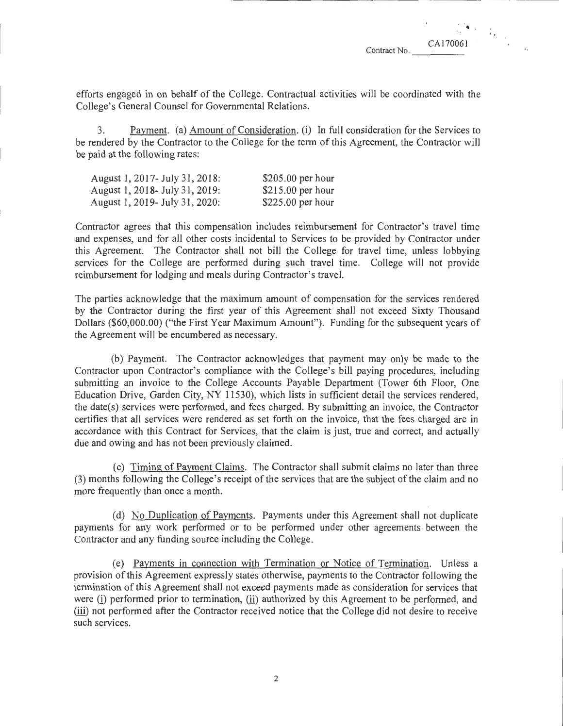$^{\circ}$   $^{\prime}$ 

'·

CAI70061

efforts engaged in on behalf of the College. Contractual activities will be coordinated with the College's General Counsel for Governmental Relations.

3. Payment. (a) Amount of Consideration. (i) In full consideration for the Services to be rendered by the Contractor to the College for the term of this Agreement, the Contractor will be paid at the following rates:

| August 1, 2017 - July 31, 2018: | $$205.00$ per hour |
|---------------------------------|--------------------|
| August 1, 2018 - July 31, 2019: | $$215.00$ per hour |
| August 1, 2019 - July 31, 2020: | $$225.00$ per hour |

Contractor agrees that this compensation includes reimbursement for Contractor's travel time and expenses, and for all other costs incidental to Services to be provided by Contractor under this Agreement. The Contractor shall not bill the College for travel time, unless lobbying services for the College are performed during such travel time. College will not provide reimbursement for lodging and meals during Contractor's travel.

The parties acknowledge that the maximum amount of compensation for the services rendered by the Contractor during the first year of this Agreement shall not exceed Sixty Thousand Dollars (\$60,000.00) ("the First Year Maximum Amount"). Funding for the subsequent years of the Agreement will be encumbered as necessary.

(b) Payment. The Contractor acknowledges that payment may only be made to the Contractor upon Contractor's compliance with the College's bill paying procedures, including submitting an invoice to the College Accounts Payable Department (Tower 6th Floor, One Education Drive, Garden City, NY 11530), which lists in sufficient detail the services rendered, the date(s) services were performed, and fees charged. By submitting an invoice, the Contractor certifies that all services were rendered as set forth on the invoice, that the fees charged are in accordance with this Contract for Services, that the claim is just, true and correct, and actually due and owing and has not been previously claimed.

(c) Timing of Payment Claims. The Contractor shall submit claims no later than three (3) months following the College's receipt of the services that are the subject of the claim and no more frequently than once a month.

(d) No Duplication of Payments. Payments under this Agreement shall not duplicate payments for any work performed or to be performed under other agreements between the Contractor and any funding source including the College.

(e) Payments in connection with Termination or Notice of Termination. Unless a provision of this Agreement expressly states otherwise, payments to the Contractor following the termination of this Agreement shall not exceed payments made as consideration for services that were (i) performed prior to termination, (ii) authorized by this Agreement to be performed, and (iii) not performed after the Contractor received notice that the College did not desire to receive such services.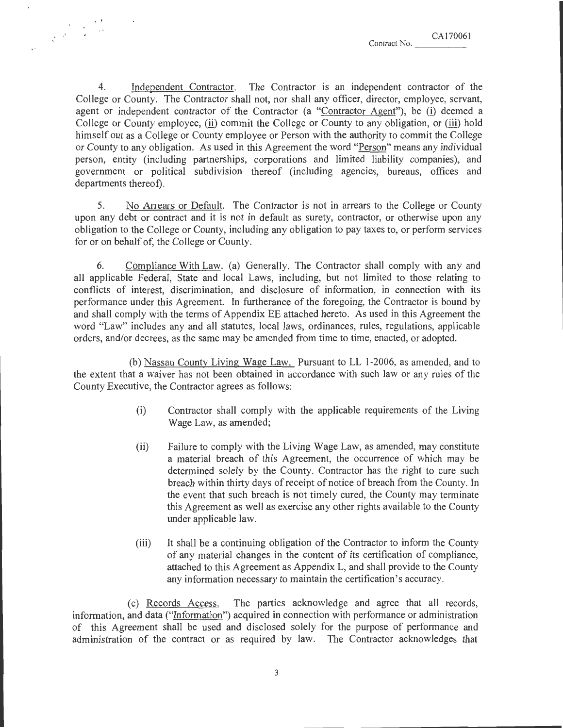4. Independent Contractor. The Contractor is an independent contractor of the College or County. The Contractor shall not, nor shall any officer, director, employee, servant, agent or independent contractor of the Contractor (a "Contractor Agent"), be (i) deemed a College or County employee, (ii) commit the College or County to any obligation, or (iii) hold himself out as a College or County employee or Person with the authority to commit the College or County to any obligation. As used in this Agreement the word "Person" means any individual person, entity (including partnerships, corporations and limited liability companies), and government or political subdivision thereof (including agencies, bureaus, offices and departments thereof).

5. No Arrears or Default. The Contractor is not in arrears to the College or County upon any debt or contract and it is not in default as surety, contractor, or otherwise upon any obligation to the College or County, including any obligation to pay taxes to, or perform services for or on behalf of, the College or County.

6. Compliance With Law. (a) Generally. The Contractor shall comply with any and all applicable Federal, State and local Laws, including, but not limited to those relating to conflicts of interest, discrimination, and disclosure of information, in connection with its performance under this Agreement. In furtherance of the foregoing, the Contractor is bound by and shall comply with the terms of Appendix EE attached hereto. As used in this Agreement the word "Law" includes any and all statutes, local laws, ordinances, rules, regulations, applicable orders, and/or decrees, as the same may be amended from time to time, enacted, or adopted.

(b) Nassau County Living Wage Law. Pursuant toLL 1-2006, as amended, and to the extent that a waiver has not been obtained in accordance with such Jaw or any rules of the County Executive, the Contractor agrees as follows:

- (i) Contractor shall comply with the applicable requirements of the Living Wage Law, as amended;
- (ii) Failure to comply with the Living Wage Law, as amended, may constitute a material breach of this Agreement, the occurrence of which may be determined solely by the County. Contractor has the right to cure such breach within thirty days of receipt of notice of breach from the County. In the event that such breach is not timely cured, the County may terminate this Agreement as well as exercise any other rights available to the County under applicable Jaw.
- (iii) It shall be a continuing obligation of the Contractor to inform the County of any material changes in the content of its certification of compliance, attached to this Agreement as Appendix L, and shall provide to the County any information necessary to maintain the certification's accuracy.

(c) Records Access. The parties acknowledge and agree that all records, information, and data ("Information") acquired in connection with performance or administration of this Agreement shall be used and disclosed solely for the purpose of performance and administration of the contract or as required by law. The Contractor acknowledges that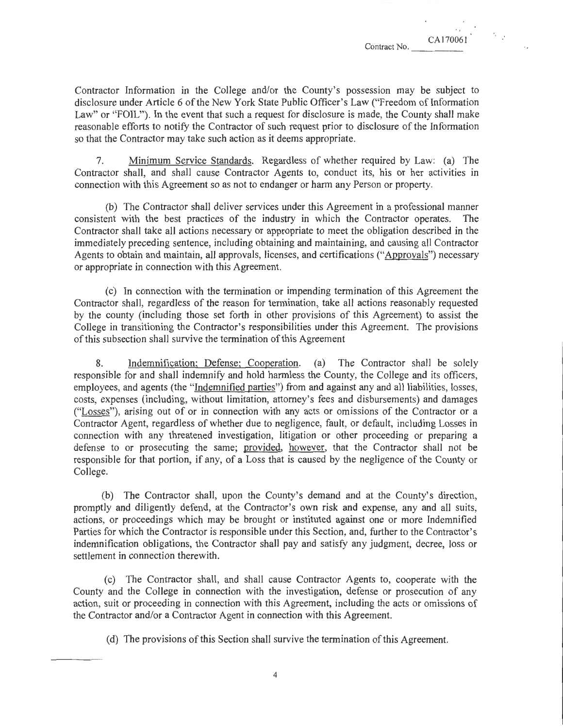CA170061

•.

Contractor Information in the College and/or the County's possession may be subject to disclosure under Article 6 of the New York State Public Officer's Law ("Freedom of Information Law" or "FOIL"). In the event that such a request for disclosure is made, the County shall make reasonable efforts to notify the Contractor of such request prior to disclosure of the Information so that the Contractor may take such action as it deems appropriate.

7. Minimum Service Standards. Regardless of whether required by Law: (a) The Contractor shall, and shall cause Contractor Agents to, conduct its, his or her activities in connection with this Agreement so as not to endanger or harm any Person or property.

(b) The Contractor shall deliver services under this Agreement in a professional manner consistent with the best practices of the industry in which the Contractor operates. The Contractor shall take all actions necessary or appropriate to meet the obligation described in the immediately preceding sentence, including obtaining and maintaining, and causing all Contractor Agents to obtain and maintain, all approvals, licenses, and certifications ("Approvals") necessary or appropriate in connection with this Agreement.

(c) In connection with the termination or impending termination of this Agreement the Contractor shall, regardless of the reason for termination, take all actions reasonably requested by the county (including those set forth in other provisions of this Agreement) to assist the College in transitioning the Contractor's responsibilities under this Agreement. The provisions of this subsection shall survive the termination of this Agreement

8. Indemnification; Defense; Cooperation. (a) The Contractor shall be solely responsible for and shall indemnify and hold harmless the County, the College and its officers, employees, and agents (the "Indemnified parties") from and against any and all liabilities, losses, costs, expenses (including, without limitation, attorney's fees and disbursements) and damages ("Losses"), arising out of or in connection with any acts or omissions of the Contractor or a Contractor Agent, regardless of whether due to negligence, fault, or default, including Losses in connection with any threatened investigation, litigation or other proceeding or preparing a defense to or prosecuting the same; provided, however, that the Contractor shall not be responsible for that portion, if any, of a Loss that is caused by the negligence of the County or College.

(b) The Contractor shall, upon the County's demand and at the County's direction, promptly and diligently defend, at the Contractor's own risk and expense, any and all suits, actions, or proceedings which may be brought or instituted against one or more Indemnified Parties for which the Contractor is responsible under this Section, and, further to the Contractor's indemnification obligations, the Contractor shall pay and satisfy any judgment, decree, loss or settlement in connection therewith.

(c) The Contractor shall, and shall cause Contractor Agents to, cooperate with the County and the College in connection with the investigation, defense or prosecution of any action, suit or proceeding in connection with this Agreement, including the acts or omissions of the Contractor and/or a Contractor Agent in connection with this Agreement.

(d) The provisions of this Section shall survive the termination of this Agreement.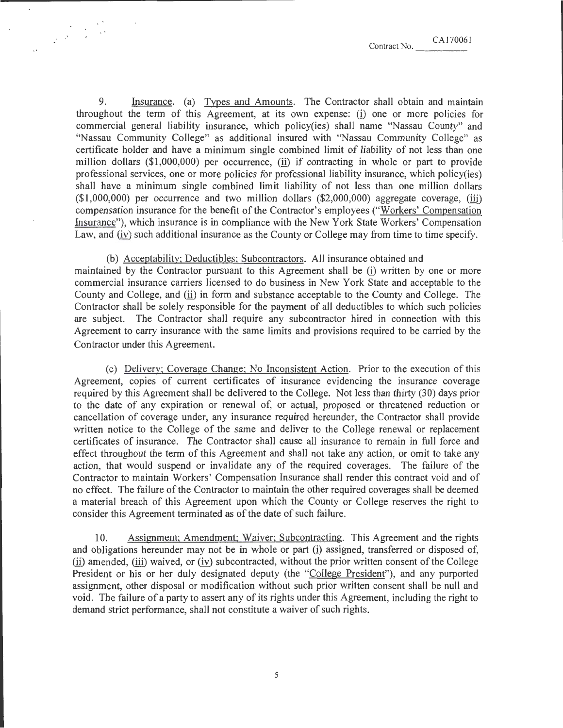9. Insurance. (a) Types and Amounts. The Contractor shall obtain and maintain throughout the term of this Agreement, at its own expense: (i) one or more policies for commercial general liability insurance, which policy(ies) shall name "Nassau County" and "Nassau Community College" as additional insured with "Nassau Community College" as certificate holder and have a minimum single combined limit of liability of not less than one million dollars  $(\text{$}1,000,000)$  per occurrence, (ii) if contracting in whole or part to provide professional services, one or more policies for professional liability insurance, which policy(ies) shall have a minimum single combined limit liability of not less than one million dollars  $($1,000,000)$  per occurrence and two million dollars  $($2,000,000)$  aggregate coverage,  $(iii)$ compensation insurance for the benefit of the Contractor's employees ("Workers' Compensation Insurance"), which insurance is in compliance with the New York State Workers' Compensation Law, and (iv) such additional insurance as the County or College may from time to time specify.

 $\label{eq:2} \begin{array}{c} \mathcal{L}_{\mathcal{A}}(\mathbf{y})=\mathcal{L}_{\mathcal{A}}(\mathbf{y})\\ \mathcal{L}_{\mathcal{A}}(\mathbf{y})=\mathcal{L}_{\mathcal{A}}(\mathbf{y})\\ \mathcal{L}_{\mathcal{A}}(\mathbf{y})=\mathcal{L}_{\mathcal{A}}(\mathbf{y}) \end{array}$ 

(b) Acceptability; Deductibles; Subcontractors. All insurance obtained and maintained by the Contractor pursuant to this Agreement shall be (i) written by one or more commercial insurance carriers licensed to do business in New York State and acceptable to the County and College, and (ii) in form and substance acceptable to the County and College. The Contractor shall be solely responsible for the payment of all deductibles to which such policies are subject. The Contractor shall require any subcontractor hired in connection with this Agreement to carry insurance with the same limits and provisions required to be carried by the Contractor under this Agreement.

(c) Delivery; Coverage Change; No Inconsistent Action. Prior to the execution of this Agreement, copies of current certificates of insurance evidencing the insurance coverage required by this Agreement shall be delivered to the College. Not less than thirty (30) days prior to the date of any expiration or renewal of, or actual, proposed or threatened reduction or cancellation of coverage under, any insurance required hereunder, the Contractor shall provide written notice to the College of the same and deliver to the College renewal or replacement certificates of insurance. The Contractor shall cause all insurance to remain in full force and effect throughout the term of this Agreement and shall not take any action, or omit to take any action, that would suspend or invalidate any of the required coverages. The failure of the Contractor to maintain Workers' Compensation Insurance shall render this contract void and of no effect. The failure of the Contractor to maintain the other required coverages shall be deemed a material breach of this Agreement upon which the County or College reserves the right to consider this Agreement terminated as of the date of such failure.

10. Assignment; Amendment; Waiver; Subcontracting. This Agreement and the rights and obligations hereunder may not be in whole or part (i) assigned, transferred or disposed of,  $(i)$  amended,  $(iii)$  waived, or  $(iv)$  subcontracted, without the prior written consent of the College President or his or her duly designated deputy (the "Collegge President"), and any purported assignment, other disposal or modification without such prior written consent shall be null and void. The failure of a party to assert any of its rights under this Agreement, including the right to demand strict performance, shall not constitute a waiver of such rights.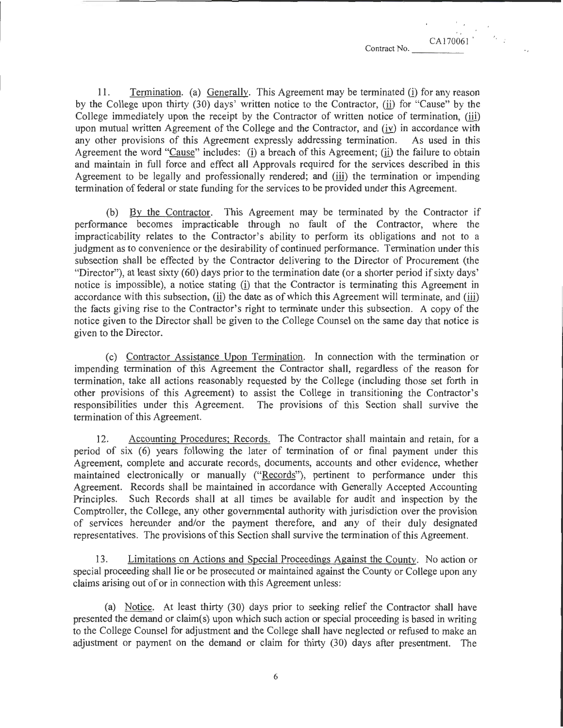11. Termination. (a) Generally. This Agreement may be terminated (i) for any reason by the College upon thirty (30) days' written notice to the Contractor, (ii) for "Cause" by the College immediately upon the receipt by the Contractor of written notice of termination, (iii) upon mutual written Agreement of the College and the Contractor, and  $(iy)$  in accordance with any other provisions of this Agreement expressly addressing termination. As used in this any other provisions of this Agreement expressly addressing termination. Agreement the word "Cause" includes: (i) a breach of this Agreement; (ii) the failure to obtain and maintain in full force and effect all Approvals required for the services described in this Agreement to be legally and professionally rendered; and (iii) the termination or impending termination of federal or state funding for the services to be provided under this Agreement.

(b) By the Contractor. This Agreement may be terminated by the Contractor if performance becomes impracticable through no fault of the Contractor, where the impracticability relates to the Contractor's ability to perform its obligations and not to a judgment as to convenience or the desirability of continued performance. Termination under this subsection shall be effected by the Contractor delivering to the Director of Procurement (the "Director"), at least sixty (60) days prior to the termination date (or a shorter period if sixty days' notice is impossible), a notice stating (i) that the Contractor is terminating this Agreement in accordance with this subsection, (ii) the date as of which this Agreement will terminate, and (iii) the facts giving rise to the Contractor's right to terminate under this subsection. A copy of the notice given to the Director shall be given to the College Counsel on the same day that notice is given to the Director.

(c) Contractor Assistance Upon Termination. In connection with the termination or impending termination of this Agreement the Contractor shall, regardless of the reason for termination, take all actions reasonably requested by the College (including those set forth in other provisions of this Agreement) to assist the College in transitioning the Contractor's responsibilities under this Agreement. The provisions of this Section shall survive the termination of this Agreement.

12. Accounting Procedures; Records. The Contractor shall maintain and retain, for a period of six (6) years following the later of termination of or final payment under this Agreement, complete and accurate records, documents, accounts and other evidence, whether maintained electronically or manually ("Records"), pertinent to performance under this Agreement. Records shall be maintained in accordance with Generally Accepted Accounting Principles. Such Records shall at all times be available for audit and inspection by the Comptroller, the College, any other governmental authority with jurisdiction over the provision of services hereunder and/or the payment therefore, and any of their duly designated representatives. The provisions of this Section shall survive the termination of this Agreement.

13. Limitations on Actions and Special Proceedings Against the County. No action or special proceeding shall lie or be prosecuted or maintained against the County or College upon any claims arising out of or in connection with this Agreement unless:

(a) Notice. At least thirty (30) days prior to seeking relief the Contractor shall have presented the demand or claim(s) upon which such action or special proceeding is based in writing to the College Counsel for adjustment and the College shall have neglected or refused to make an adjustment or payment on the demand or claim for thirty (30) days after presentment. The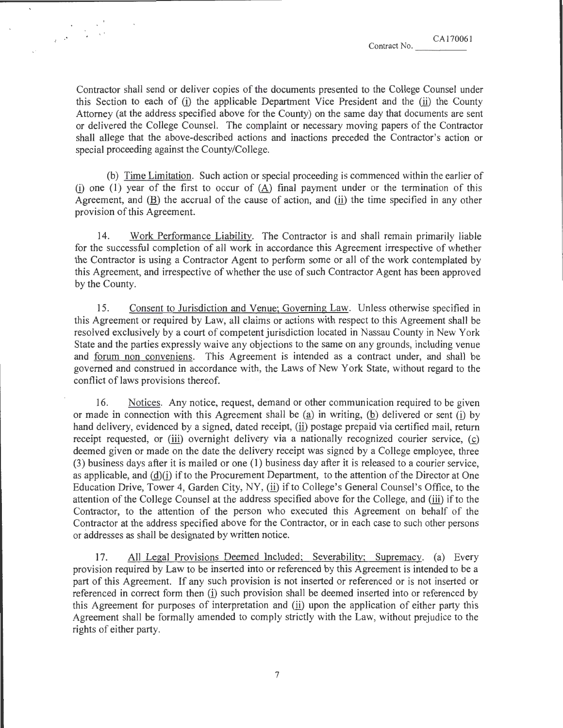$\mathcal{L}$  CA170061 Contract No.

Contractor shall send or deliver copies of the documents presented to the College Counsel under this Section to each of  $(i)$  the applicable Department Vice President and the  $(ii)$  the County Attorney (at the address specified above for the County) on the same day that documents are sent or delivered the College Counsel. The complaint or necessary moving papers of the Contractor shall allege that the above-described actions and inactions preceded the Contractor's action or special proceeding against the County/College.

(b) Time Limitation. Such action or special proceeding is commenced within the earlier of (i) one (1) year of the first to occur of  $(A)$  final payment under or the termination of this Agreement, and  $(B)$  the accrual of the cause of action, and  $(i)$  the time specified in any other provision of this Agreement.

14. Work Performance Liability. The Contractor is and shall remain primarily liable for the successful completion of all work in accordance this Agreement irrespective of whether the Contractor is using a Contractor Agent to perform some or all of the work contemplated by this Agreement, and irrespective of whether the use of such Contractor Agent has been approved by the County.

15. Consent to Jurisdiction and Venue; Governing Law. Unless otherwise specified in this Agreement or required by Law, all claims or actions with respect to this Agreement shall be resolved exclusively by a court of competent jurisdiction located in Nassau County in New York State and the parties expressly waive any objections to the same on any grounds, including venue and forum non conveniens. This Agreement is intended as a contract under, and shall be governed and construed in accordance with, the Laws of New York State, without regard to the conflict of laws provisions thereof.

16. Notices. Any notice, request, demand or other communication required to be given or made in connection with this Agreement shall be (a) in writing, (b) delivered or sent (i) by hand delivery, evidenced by a signed, dated receipt, (ii) postage prepaid via certified mail, return receipt requested, or (iii) overnight delivery via a nationally recognized courier service,  $(c)$ deemed given or made on the date the delivery receipt was signed by a College employee, three (3) business days after it is mailed or one (1) business day after it is released to a courier service, as applicable, and  $(d)(i)$  if to the Procurement Department, to the attention of the Director at One Education Drive, Tower 4, Garden City, NY, (ii) if to College's General Counsel's Office, to the attention of the College Counsel at the address specified above for the College, and (ill) if to the Contractor, to the attention of the person who executed this Agreement on behalf of the Contractor at the address specified above for the Contractor, or in each case to such other persons or addresses as shall be designated by written notice.

17. All Legal Provisions Deemed Included; Severability; Supremacy. (a) Every provision required by Law to be inserted into or referenced by this Agreement is intended to be a part of this Agreement. If any such provision is not inserted or referenced or is not inserted or referenced in correct form then (i) such provision shall be deemed inserted into or referenced by this Agreement for purposes of interpretation and  $(i)$  upon the application of either party this Agreement shall be formally amended to comply strictly with the Law, without prejudice to the rights of either party.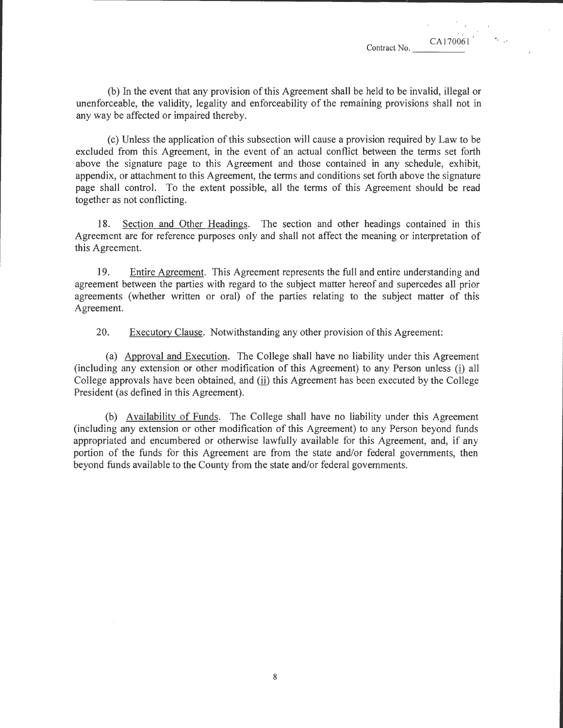(b) In the event that any provision of this Agreement shall be held to be invalid, illegal or unenforceable, the validity, legality and enforceability of the remaining provisions shall not in any way be affected or impaired thereby.

(c) Unless the application of this subsection will cause a provision required by Law to be excluded from this Agreement, in the event of an actual conflict between the terms set forth above the signature page to this Agreement and those contained in any schedule, exhibit, appendix, or attachment to this Agreement, the terms and conditions set forth above the signature page shall control. To the extent possible, all the terms of this Agreement should be read together as not conflicting.

18. Section and Other Headings. The section and other headings contained in this Agreement are for reference purposes only and shall not affect the meaning or interpretation of this Agreement.

19. Entire Agreement. This Agreement represents the full and entire understanding and agreement between the parties with regard to the subject matter hereof and supercedes all prior agreements (whether written or oral) of the parties relating to the subject matter of this Agreement.

20. Executory Clause. Notwithstanding any other provision of this Agreement:

(a) Approval and Execution. The College shall have no liability under this Agreement (including any extension or other modification of this Agreement) to any Person unless (i) all College approvals have been obtained, and (ii) this Agreement has been executed by the College President (as defined in this Agreement).

(b) Availability of Funds. The College shall have no liability under this Agreement (including any extension or other modification of this Agreement) to any Person beyond funds appropriated and encumbered or otherwise lawfully available for this Agreement, and, if any portion of the funds for this Agreement are from the state and/or federal governments, then beyond funds available to the County from the state and/or federal governments.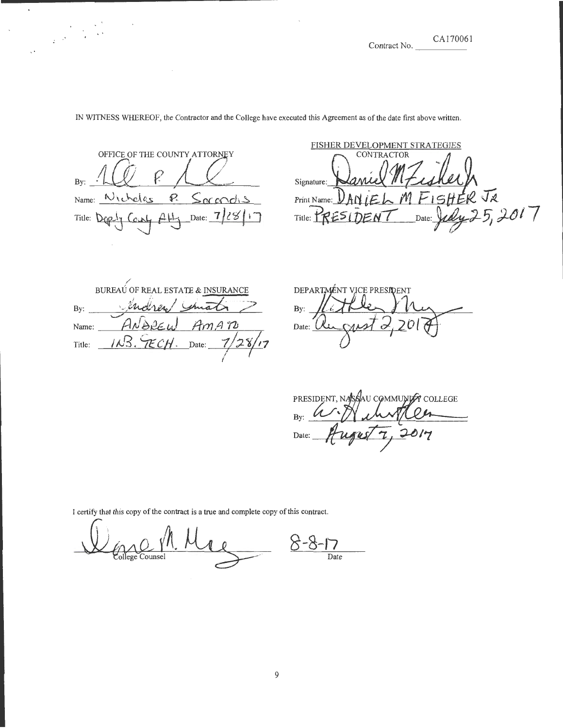'' CAI70061 CA170061<br>Contract No.

# OFFICE OF THE COUNTY ATTORNEY By: -~~~--~-~-=~~-==---- Name: Nicholas P. Socondis Title:  $D_{CP}1_{7}$  *Co*  $D_{4}$   $A1_{7}$  Date:  $7/28$   $17$

# FISHER DEVELOPMENT STRATEGIES Signature:  $_{\text{Print Name:} }$  DAN IEL M FISHER J2<br>Title: PRESIDENT Date: Judy 25, 2017

/ BUREAU OF REAL ESTATE & INSURANCE BUREAU OF REAL ESTATE & INSURANCE Name: *\_\_\_\_\_ PIN BEEU TIMPI 10* 1)<br><u>IECH. Date: 7/28/17</u>  $\frac{1}{\sqrt{2}}$ Title:

DEPARTMÉNT VICE PRESIDENT By:  $\frac{1}{2}$ Date: UL

PRESIDENT, NASSAU COMMUNITE COLLEGE August 7, Date:

I certify that this copy of the contract is a true and complete copy of this contract.

**8-8-f7**  Date ollege Counsel

IN WITNESS WHEREOF, the Contractor and the College have executed this Agreement as of the date first above written.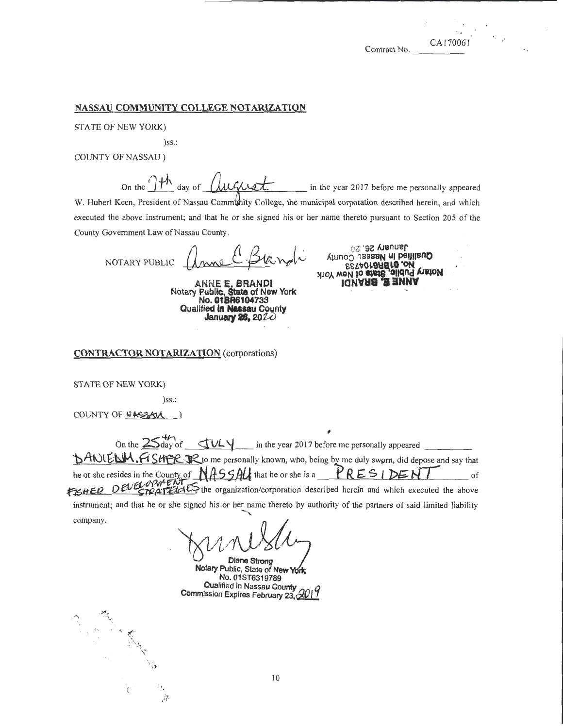'

#### NASSAU COMMUNITY COLLEGE NOTARIZATION

STATE OF NEW YORK)

)ss.:

COUNTY OF NASSAU )

On the  $\int_{\mathcal{C}}^{\mathcal{C}}$  day of  $\int_{\mathcal{C}}^{\mathcal{C}}$  /  $\int_{\mathcal{C}}^{\mathcal{C}}$  and  $\int_{\mathcal{C}}^{\mathcal{C}}$  in the year 2017 before me personally appeared

W. Hubert Keen, President of Nassau Community College, the municipal corporation described herein, and which executed the above instrument; and that he or she signed his or her name thereto pursuant to Section 205 of the County Government Law of Nassau County.

NOTARY PUBLIC

ANNE E. BRANDl Notary Public, State of New York No. 01BR6104733 Qualified In Nassau County January 28, *20W* 

January 26, 20 Qualified in Nassau County EETAO18RE10 ON LIBION **A10Y WBM to etate** 

### CONTRACTOR NOTARIZATION (corporations)

STATE OF NEW YORK)

company.

 $\hat{\mathcal{C}}$ 

 $\mathbb{R}^n$ 

)ss.:

' ,. ,,

·,

COUNTY OF **L'ASSAU** 

On the  $25\frac{47}{3}$  of  $\sqrt{114}$  in the year 2017 before me personally appeared "bANIENM. FI SHER JR to me personally known, who, being by me duly swprn, did depose and say that he or she resides in the County of NASSAU that he or she is a **PRESIDENT** of fished OEU trip to U.P. the organization/corporation described herein and which executed the above instrument; and that he or she signed his or her name thereto by authority of the partners of said limited liability

~/J *11 / }* 

Diane Strong Notary Public, State of New York No. 01ST6319789 Qualified in Nassau County Commission Expires February 23, 610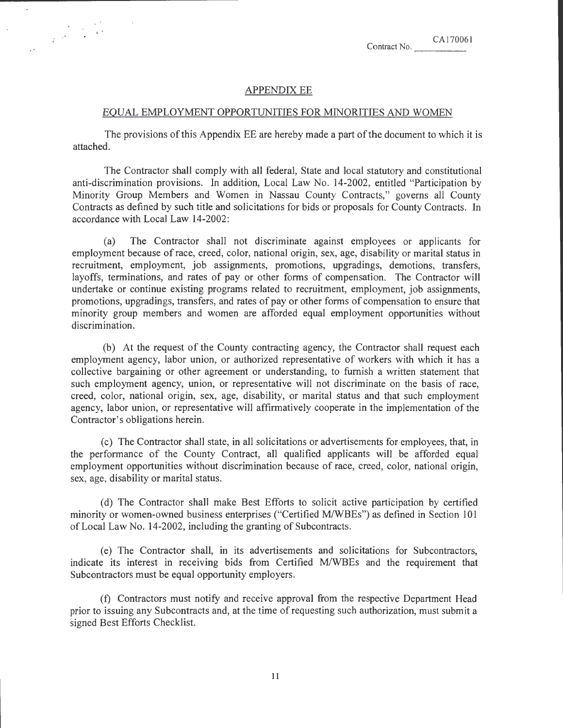### **APPENDIX EE**

• '

### EQUAL EMPLOYMENT OPPORTUNITIES FOR MINORITIES AND WOMEN

The provisions of this Appendix EE are hereby made a part of the document to which it is attached.

The Contractor shall comply with all federal, State and local statutory and constitutional anti-discrimination provisions. In addition, Local Law No. 14-2002, entitled "Participation by Minority Group Members and Women in Nassau County Contracts," governs all County Contracts as defined by such title and solicitations for bids or proposals for County Contracts. In accordance with Local Law 14-2002:

(a) The Contractor shall not discriminate against employees or applicants for employment because of race, creed, color, national origin, sex, age, disability or marital status in recruitment, employment, job assignments, promotions, upgradings, demotions, transfers, layoffs, terminations, and rates of pay or other forms of compensation. The Contractor will undertake or continue existing programs related to recruitment, employment, job assignments, promotions, upgradings, transfers, and rates of pay or other forms of compensation to ensure that minority group members and women are afforded equal employment opportunities without discrimination.

(b) At the request of the County contracting agency, the Contractor shall request each employment agency, labor union, or authorized representative of workers with which it has a collective bargaining or other agreement or understanding, to furnish a written statement that such employment agency, union, or representative will not discriminate on the basis of race, creed, color, national origin, sex, age, disability, or marital status and that such employment agency, labor union, or representative will affirmatively cooperate in the implementation of the Contractor's obligations herein.

(c) The Contractor shall state, in all solicitations or advertisements for employees, that, in the performance of the County Contract, all qualified applicants will be afforded equal employment opportunities without discrimination because of race, creed, color, national origin, sex, age, disability or marital status.

(d) The Contractor shall make Best Efforts to solicit active participation by certified minority or women-owned business enterprises ("Certified M/WBEs") as defined in Section 101 of Local Law No. 14-2002, including the granting of Subcontracts.

(e) The Contractor shall, in its advertisements and solicitations for Subcontractors, indicate its interest in receiving bids from Certified M/WBEs and the requirement that Subcontractors must be equal opportunity employers.

(f) Contractors must notify and receive approval from the respective Department Head prior to issuing any Subcontracts and, at the time of requesting such authorization, must submit a signed Best Efforts Checklist.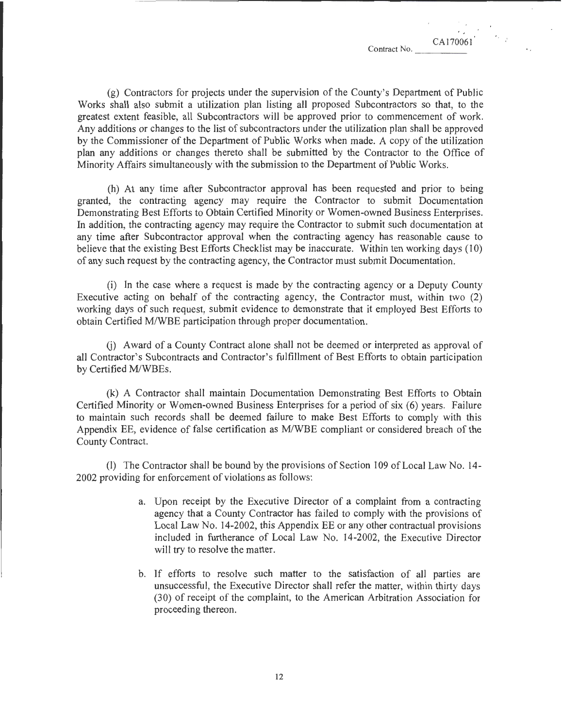' CA170061

(g) Contractors for projects under the supervision of the County's Department of Public Works shall also submit a utilization plan listing all proposed Subcontractors so that, to the greatest extent feasible, all Subcontractors will be approved prior to commencement of work. Any additions or changes to the list of subcontractors under the utilization plan shall be approved by the Commissioner of the Department of Public Works when made. A copy of the utilization plan any additions or changes thereto shall be submitted by the Contractor to the Office of Minority Affairs simultaneously with the submission to the Department of Public Works.

(h) At any time after Subcontractor approval has been requested and prior to being granted, the contracting agency may require the Contractor to submit Documentation Demonstrating Best Efforts to Obtain Certified Minority or Women-owned Business Enterprises. In addition, the contracting agency may require the Contractor to submit such documentation at any time after Subcontractor approval when the contracting agency has reasonable cause to believe that the existing Best Efforts Checklist may be inaccurate. Within ten working days (10) of any such request by the contracting agency, the Contractor must submit Documentation.

(i) In the case where a request is made by the contracting agency or a Deputy County Executive acting on behalf of the contracting agency, the Contractor must, within two (2) working days of such request, submit evidence to demonstrate that it employed Best Efforts to obtain Certified M/WBE participation through proper documentation.

G) Award of a County Contract alone shall not be deemed or interpreted as approval of all Contractor's Subcontracts and Contractor's fulfillment of Best Efforts to obtain participation by Certified M/WBEs.

(k) A Contractor shall maintain Documentation Demonstrating Best Efforts to Obtain Certified Minority or Women-owned Business Enterprises for a period of six (6) years. Failure to maintain such records shall be deemed failure to make Best Efforts to comply with this Appendix EE, evidence of false certification as MIWBE compliant or considered breach of the County Contract.

(l) The Contractor shall be bound by the provisions of Section 109 of Local Law No. 14- 2002 providing for enforcement of violations as follows:

- a. Upon receipt by the Executive Director of a complaint from a contracting agency that a County Contractor has failed to comply with the provisions of Local Law No. 14-2002, this Appendix EE or any other contractual provisions included in furtherance of Local Law No. 14-2002, the Executive Director will try to resolve the matter.
- b. If efforts to resolve such matter to the satisfaction of all parties are unsuccessful, the Executive Director shall refer the matter, within thirty days (30) of receipt of the complaint, to the American Arbitration Association for proceeding thereon.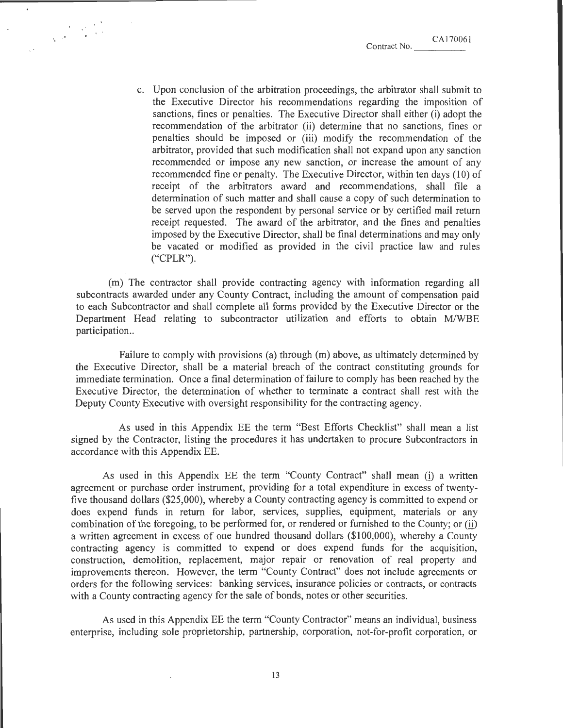c. Upon conclusion of the arbitration proceedings, the arbitrator shall submit to the Executive Director his recommendations regarding the imposition of sanctions, fines or penalties. The Executive Director shall either (i) adopt the recommendation of the arbitrator (ii) determine that no sanctions, fines or penalties should be imposed or (iii) modify the recommendation of the arbitrator, provided that such modification shall not expand upon any sanction recommended or impose any new sanction, or increase the amount of any recommended fine or penalty. The Executive Director, within ten days (10) of receipt of the arbitrators award and recommendations, shall file a determination of such matter and shall cause a copy of such determination to be served upon the respondent by personal service or by certified mail return receipt requested. The award of the arbitrator, and the fines and penalties imposed by the Executive Director, shall be final determinations and may only be vacated or modified as provided in the civil practice law and rules ("CPLR").

(m) The contractor shall provide contracting agency with information regarding all subcontracts awarded under any County Contract, including the amount of compensation paid to each Subcontractor and shall complete all forms provided by the Executive Director or the Department Head relating to subcontractor utilization and efforts to obtain M/WBE participation..

Failure to comply with provisions (a) through (m) above, as ultimately determined by the Executive Director, shall be a material breach of the contract constituting grounds for immediate termination. Once a final determination of failure to comply has been reached by the Executive Director, the determination of whether to terminate a contract shall rest with the Deputy County Executive with oversight responsibility for the contracting agency.

As used in this Appendix EE the term "Best Efforts Checklist" shall mean a list signed by the Contractor, listing the procedures it has undertaken to procure Subcontractors in accordance with this Appendix EE.

As used in this Appendix EE the term "County Contract" shall mean (i) a written agreement or purchase order instrument, providing for a total expenditure in excess of twentyfive thousand dollars (\$25,000), whereby a County contracting agency is committed to expend or does expend funds in return for labor, services, supplies, equipment, materials or any combination of the foregoing, to be performed for, or rendered or furnished to the County; or (ii) a written agreement in excess of one hundred thousand dollars (\$100,000), whereby a County contracting agency is committed to expend or does expend funds for the acquisition, construction, demolition, replacement, major repair or renovation of real property and improvements thereon. However, the term "County Contract" does not include agreements or orders for the following services: banking services, insurance policies or contracts, or contracts with a County contracting agency for the sale of bonds, notes or other securities.

As used in this Appendix EE the term "County Contractor" means an individual, business enterprise, including sole proprietorship, partnership, corporation, not-for-profit corporation, or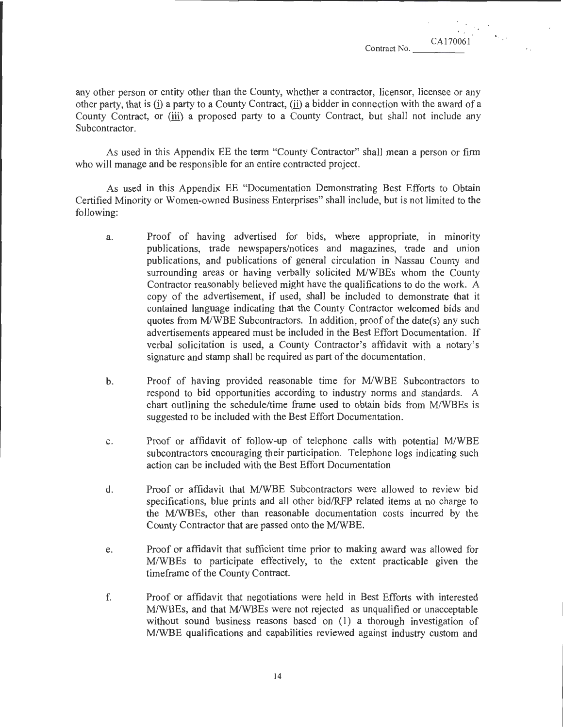CA170061

•.

any other person or entity other than the County, whether a contractor, licensor, licensee or any other party, that is (i) a party to a County Contract,  $(i)$  a bidder in connection with the award of a County Contract, or (iii) a proposed party to a County Contract, but shall not include any Subcontractor.

As used in this Appendix EE the term "County Contractor" shall mean a person or firm who will manage and be responsible for an entire contracted project.

As used in this Appendix EE "Documentation Demonstrating Best Efforts to Obtain Certified Minority or Women-owned Business Enterprises" shall include, but is not limited to the following:

- a. Proof of having advertised for bids, where appropriate, in minority publications, trade newspapers/notices and magazines, trade and union publications, and publications of general circulation in Nassau County and surrounding areas or having verbally solicited M/WBEs whom the County Contractor reasonably believed might have the qualifications to do the work. A copy of the advertisement, if used, shall be included to demonstrate that it contained language indicating that the County Contractor welcomed bids and quotes from M/WBE Subcontractors. In addition, proof of the date(s) any such advertisements appeared must be included in the Best Effort Documentation. If verbal solicitation is used, a County Contractor's affidavit with a notary's signature and stamp shall be required as part of the documentation.
- b. Proof of having provided reasonable time for M/WBE Subcontractors to respond to bid opportunities according to industry norms and standards. A chart outlining the schedule/time frame used to obtain bids from M/WBEs is suggested to be included with the Best Effort Documentation.
- c. Proof or affidavit of follow-up of telephone calls with potential M/WBE subcontractors encouraging their participation. Telephone logs indicating such action can be included with the Best Effort Documentation
- d. Proof or affidavit that MIWBE Subcontractors were allowed to review bid specifications, blue prints and all other bid/RFP related items at no charge to the MIWBEs, other than reasonable documentation costs incurred by the County Contractor that are passed onto the M/WBE.
- e. Proof or affidavit that sufficient time prior to making award was allowed for M/WBEs to participate effectively, to the extent practicable given the timeframe of the County Contract.
- f. Proof or affidavit that negotiations were held in Best Efforts with interested MIWBEs, and that M/WBEs were not rejected as unqualified or unacceptable without sound business reasons based on  $(1)$  a thorough investigation of M/WBE qualifications and capabilities reviewed against industry custom and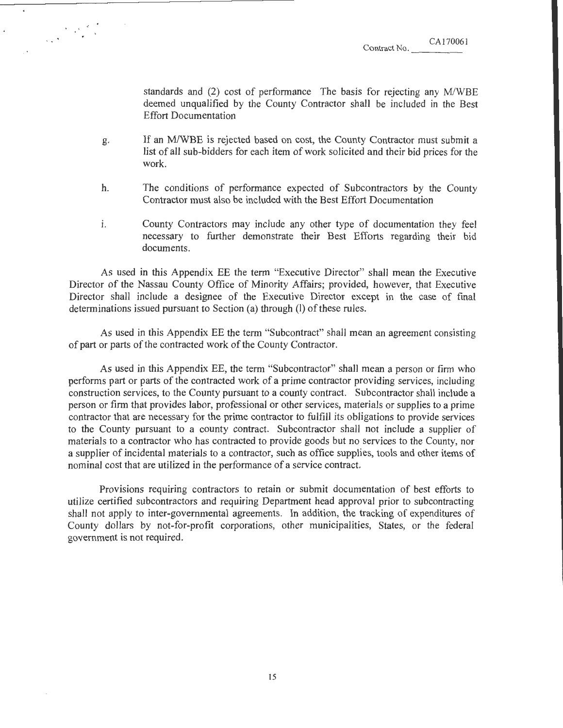CAI70061

standards and  $(2)$  cost of performance The basis for rejecting any M/WBE deemed unqualified by the County Contractor shall be included in the Best Effort Documentation

- g. If an M/WBE is rejected based on cost, the County Contractor must submit a list of all sub-bidders for each item of work solicited and their bid prices for the work.
- h. The conditions of performance expected of Subcontractors by the County Contractor must also be included with the Best Effort Documentation
- i. County Contractors may include any other type of documentation they feel necessary to further demonstrate their Best Efforts regarding their bid documents.

As used in this Appendix EE the term "Executive Director" shall mean the Executive Director of the Nassau County Office of Minority Affairs; provided, however, that Executive Director shall include a designee of the Executive Director except in the case of final determinations issued pursuant to Section (a) through (I) of these rules.

As used in this Appendix EE the term "Subcontract" shall mean an agreement consisting of part or parts of the contracted work of the County Contractor.

As used in this Appendix EE, the term "Subcontractor" shall mean a person or firm who performs part or parts of the contracted work of a prime contractor providing services, including construction services, to the County pursuant to a county contract. Subcontractor shall include a person or firm that provides labor, professional or other services, materials or supplies to a prime contractor that are necessary for the prime contractor to fulfill its obligations to provide services to the County pursuant to a county contract. Subcontractor shall not include a supplier of materials to a contractor who has contracted to provide goods but no services to the County, nor a supplier of incidental materials to a contractor, such as office supplies, tools and other items of nominal cost that are utilized in the performance of a service contract.

Provisions requiring contractors to retain or submit documentation of best efforts to utilize certified subcontractors and requiring Department head approval prior to subcontracting shall not apply to inter-governmental agreements. In addition, the tracking of expenditures of County dollars by not-for-profit corporations, other municipalities, States, or the federal government is not required.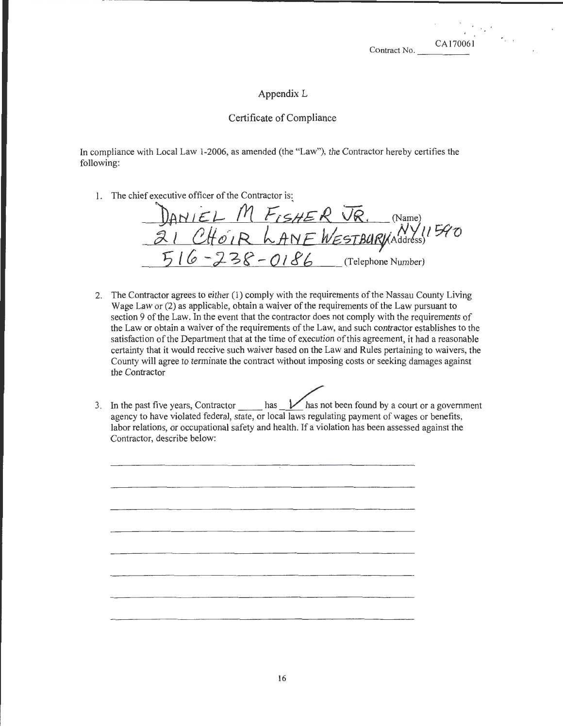CA170061

' a <sup>'</sup>

### Appendix **L**

### Certificate of Compliance

In compliance with Local Law 1-2006, as amended (the "Law"), the Contractor hereby certifies the following:

I. The chief executive officer of the Contractor is:

DANIEL M FISHER JR. (Name) 21 CHOIR LANE WESTBURVIAddress<sup>1590</sup>  $-238 - 0186$  (Telephone Number)

- 2. The Contractor agrees to either (1) comply with the requirements of the Nassau County Living Wage Law or (2) as applicable, obtain a waiver of the requirements of the Law pursuant to section 9 of the Law. In the event that the contractor does not comply with the requirements of the Law or obtain a waiver of the requirements of the Law, and such contractor establishes to the satisfaction of the Department that at the time of execution of this agreement, it had a reasonable certainty that it would receive such waiver based on the Law and Rules pertaining to waivers, the County will agree to terminate the contract without imposing costs or seeking damages against the Contractor
- 3. In the past five years, Contractor has  $\mathcal V$  has not been found by a court or a government agency to have violated federal, state, or local laws regulating payment of wages or benefits, labor relations, or occupational safety and health. If a violation has been assessed against the Contractor, describe below: